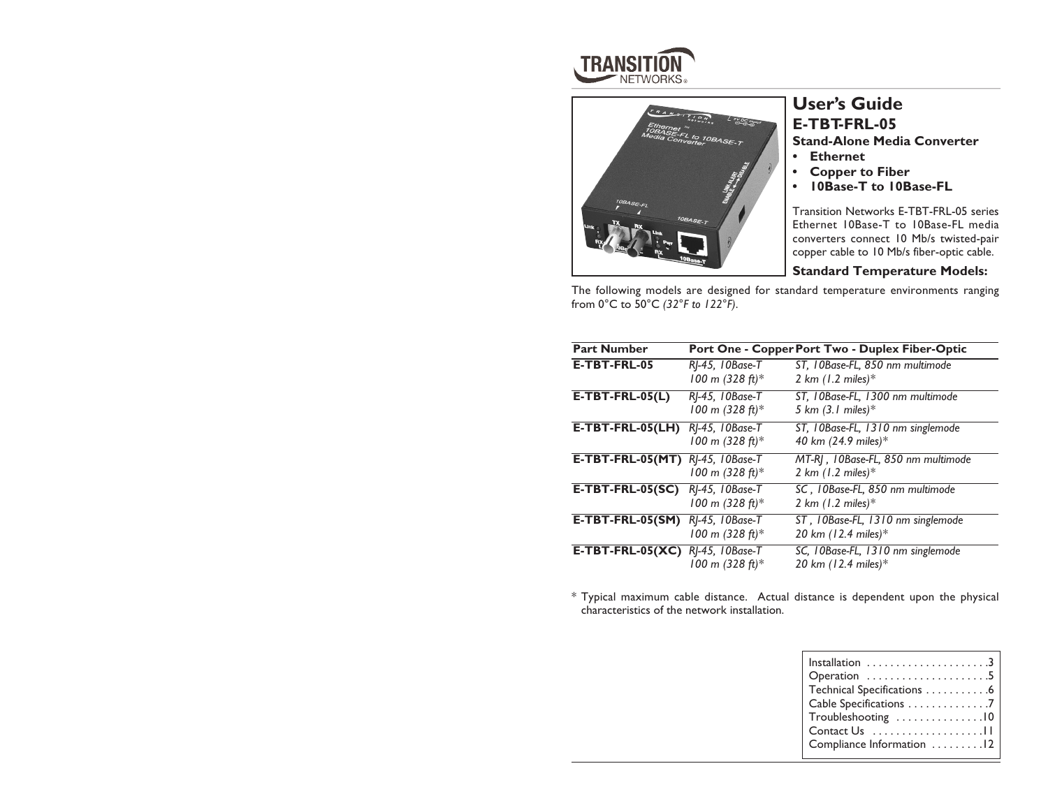



# **User's Guide E-TBT-FRL-05**

**Stand-Alone Media Converter**

- *•* **Ethernet**
- **• Copper to Fiber**
- **• 10Base-T to 10Base-FL**

Transition Networks E-TBT-FRL-05 series Ethernet 10Base-T to 10Base-FL media converters connect 10 Mb/s twisted-pair copper cable to 10 Mb/s fiber-optic cable.

### **Standard Temperature Models:**

The following models are designed for standard temperature environments ranging from 0°C to 50°C *(32°F to 122°F)*.

| <b>Part Number</b>                      |                                      | Port One - Copper Port Two - Duplex Fiber-Optic                            |
|-----------------------------------------|--------------------------------------|----------------------------------------------------------------------------|
| E-TBT-FRL-05                            | RJ-45, 10Base-T<br>100 m (328 ft)*   | ST, 10Base-FL, 850 nm multimode<br>2 km $(1.2 \text{ miles})$ <sup>*</sup> |
| $E-TBT-FRL-05(L)$                       | RJ-45, 10Base-T<br>100 m (328 ft)*   | ST, 10Base-FL, 1300 nm multimode<br>5 km $(3.1 \text{ miles})$ *           |
| E-TBT-FRL-05(LH)                        | RJ-45, IOBase-T<br>100 m (328 ft)*   | ST, 10Base-FL, 1310 nm singlemode<br>40 km (24.9 miles)*                   |
| <b>E-TBT-FRL-05(MT)</b> RJ-45, 10Base-T | 100 m (328 ft)*                      | MT-RJ, 10Base-FL, 850 nm multimode<br>2 km $(1.2 \text{ miles})$ *         |
| $E-TBT-FRL-05(SC)$                      | RJ-45, 10Base-T<br>100 m (328 ft)*   | SC, 10Base-FL, 850 nm multimode<br>2 km $(1.2 \text{ miles})$ <sup>*</sup> |
| $E-TBT-FRL-05(SM)$                      | RI-45, 10Base-T<br>100 m $(328 ft)*$ | ST, 10Base-FL, 1310 nm singlemode<br>20 km (12.4 miles)*                   |
| $E-TBT-FRL-05(XC)$                      | RJ-45, IOBase-T<br>100 m (328 ft)*   | SC, 10Base-FL, 1310 nm singlemode<br>20 km (12.4 miles)*                   |

\* Typical maximum cable distance. Actual distance is dependent upon the physical characteristics of the network installation.

| Operation 5                |
|----------------------------|
| Technical Specifications 6 |
| Cable Specifications 7     |
| Troubleshooting 10         |
| Contact $Us$               |
| Compliance Information 12  |
|                            |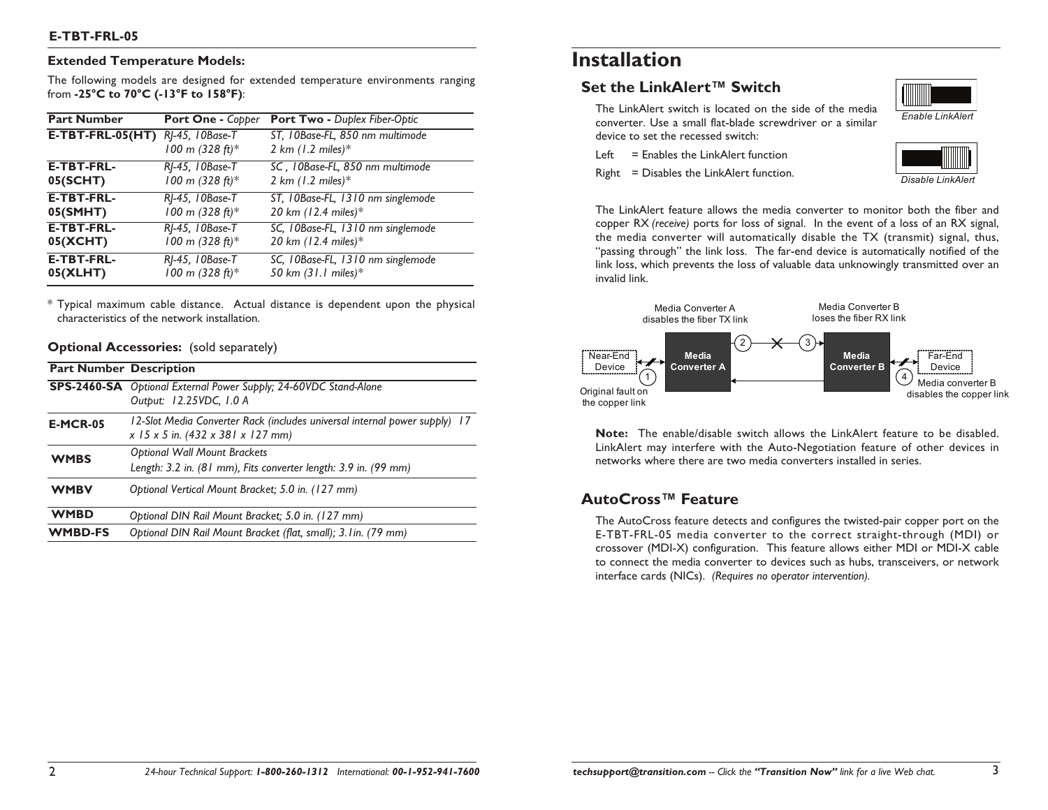### **Extended Temperature Models:**

The following models are designed for extended temperature environments ranging from **-25°C to 70°C (-13°F to 158°F)**:

| <b>Part Number</b> | Port One - Copper                  | <b>Port Two - Duplex Fiber-Optic</b>                            |
|--------------------|------------------------------------|-----------------------------------------------------------------|
| $E-TBT-FRL-05(HT)$ | RJ-45, 10Base-T<br>100 m (328 ft)* | ST, 10Base-FL, 850 nm multimode<br>2 km $(1.2 \text{ miles})$ * |
| <b>E-TBT-FRL-</b>  | RJ-45, 10Base-T                    | SC, 10Base-FL, 850 nm multimode                                 |
| 05(SCHT)           | 100 m (328 ft)*                    | 2 km $(1.2 \text{ miles})$ *                                    |
| <b>E-TBT-FRL-</b>  | RJ-45, 10Base-T                    | ST, 10Base-FL, 1310 nm singlemode                               |
| 05(SMHT)           | 100 m (328 ft)*                    | 20 km (12.4 miles)*                                             |
| <b>E-TBT-FRL-</b>  | RJ-45, 10Base-T                    | SC, 10Base-FL, 1310 nm singlemode                               |
| 05(XCHT)           | 100 m (328 ft)*                    | 20 km (12.4 miles)*                                             |
| <b>E-TBT-FRL-</b>  | RI-45, 10Base-T                    | SC, 10Base-FL, 1310 nm singlemode                               |
| 05(XLHT)           | 100 m (328 ft)*                    | 50 km (31.1 miles)*                                             |

\* Typical maximum cable distance. Actual distance is dependent upon the physical characteristics of the network installation.

### **Optional Accessories:** (sold separately)

|                 | <b>Part Number Description</b>                                                                                          |
|-----------------|-------------------------------------------------------------------------------------------------------------------------|
|                 | <b>SPS-2460-SA</b> Optional External Power Supply; 24-60VDC Stand-Alone<br>Output: 12.25VDC, 1.0 A                      |
| <b>E-MCR-05</b> | 12-Slot Media Converter Rack (includes universal internal power supply) 17<br>$x$ 15 $x$ 5 in. (432 $x$ 381 $x$ 127 mm) |
| <b>WMBS</b>     | <b>Optional Wall Mount Brackets</b><br>Length: 3.2 in. (81 mm), Fits converter length: 3.9 in. (99 mm)                  |
| <b>WMBV</b>     | Optional Vertical Mount Bracket; 5.0 in. (127 mm)                                                                       |
| <b>WMBD</b>     | Optional DIN Rail Mount Bracket; 5.0 in. (127 mm)                                                                       |
| <b>WMBD-FS</b>  | Optional DIN Rail Mount Bracket (flat, small); 3. I in. (79 mm)                                                         |

# **Installation**

### **Set the LinkAlert™ Switch**

The LinkAlert switch is located on the side of the media converter. Use a small flat-blade screwdriver or a similar device to set the recessed switch:

Left  $=$  Enables the LinkAlert function

Right = Disables the LinkAlert function.





*Disable LinkAlert*

The LinkAlert feature allows the media converter to monitor both the fiber and copper RX *(receive)* ports for loss of signal. In the event of a loss of an RX signal, the media converter will automatically disable the TX (transmit) signal, thus, "passing through" the link loss. The far-end device is automatically notified of the link loss, which prevents the loss of valuable data unknowingly transmitted over an invalid link.



**Note:** The enable/disable switch allows the LinkAlert feature to be disabled. LinkAlert may interfere with the Auto-Negotiation feature of other devices in networks where there are two media converters installed in series.

### **AutoCross™ Feature**

The AutoCross feature detects and configures the twisted-pair copper port on the E-TBT-FRL-05 media converter to the correct straight-through (MDI) or crossover (MDI-X) configuration. This feature allows either MDI or MDI-X cable to connect the media converter to devices such as hubs, transceivers, or network interface cards (NICs). *(Requires no operator intervention).*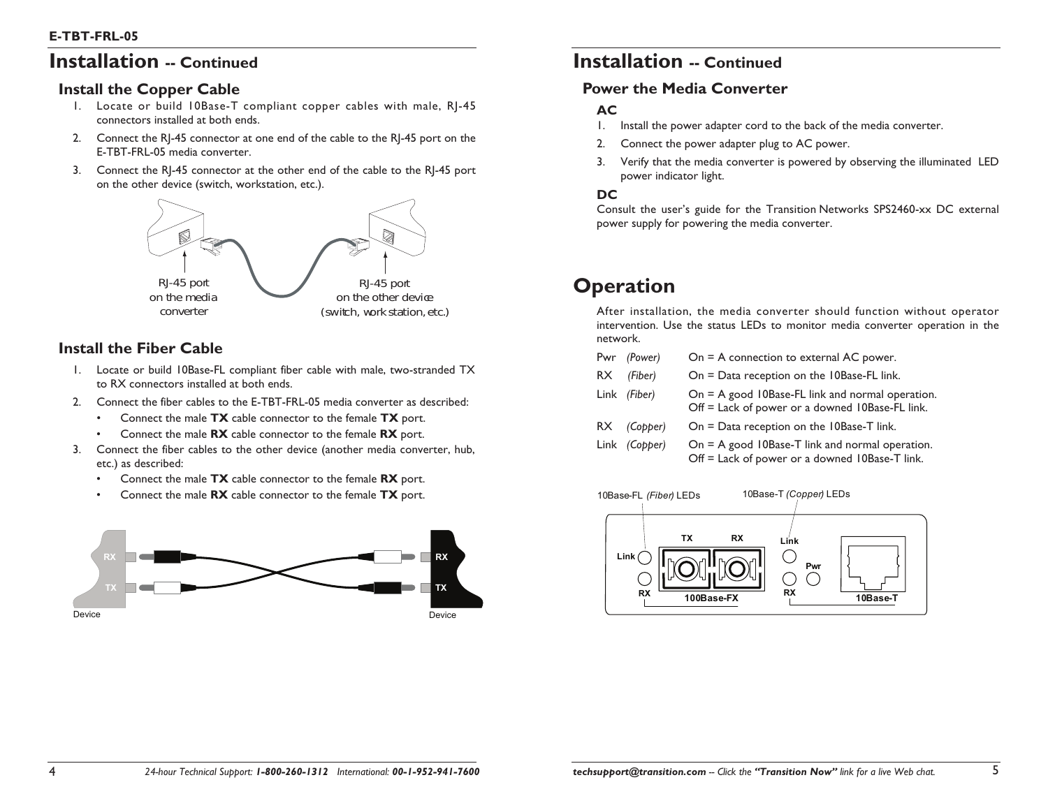# **Installation -- Continued**

### **Install the Copper Cable**

- 1. Locate or build 10Base-T compliant copper cables with male, RJ-45 connectors installed at both ends.
- 2. Connect the RJ-45 connector at one end of the cable to the RJ-45 port on the E-TBT-FRL-05 media converter.
- 3. Connect the RJ-45 connector at the other end of the cable to the RJ-45 port on the other device (switch, workstation, etc.).



### **Install the Fiber Cable**

- 1. Locate or build 10Base-FL compliant fiber cable with male, two-stranded TX to RX connectors installed at both ends.
- 2. Connect the fiber cables to the E-TBT-FRL-05 media converter as described:
	- •Connect the male **TX** cable connector to the female **TX** port.
	- •Connect the male **RX** cable connector to the female **RX** port.
- 3. Connect the fiber cables to the other device (another media converter, hub, etc.) as described:
	- •Connect the male **TX** cable connector to the female **RX** port.
	- •Connect the male **RX** cable connector to the female **TX** port.



# **Installation -- Continued**

### **Power the Media Converter**

### **AC**

- 1. Install the power adapter cord to the back of the media converter.
- 2. Connect the power adapter plug to AC power.
- 3. Verify that the media converter is powered by observing the illuminated LED power indicator light.

### **DC**

Consult the user's guide for the Transition Networks SPS2460-xx DC external power supply for powering the media converter.

# **Operation**

After installation, the media converter should function without operator intervention. Use the status LEDs to monitor media converter operation in the network.

|     | Pwr (Power)          | $On = A$ connection to external AC power.                                                           |
|-----|----------------------|-----------------------------------------------------------------------------------------------------|
| RX. | (Fiber)              | $On = Data reception on the 10Base-FL link.$                                                        |
|     | Link (Fiber)         | On = A good 10Base-FL link and normal operation.<br>Off = Lack of power or a downed 10Base-FL link. |
|     | $RX$ (Copper)        | On $=$ Data reception on the 10Base-T link.                                                         |
|     | Link <i>(Copper)</i> | $On = A$ good 10Base-T link and normal operation.                                                   |

Off = Lack of power or a downed 10Base-T link.

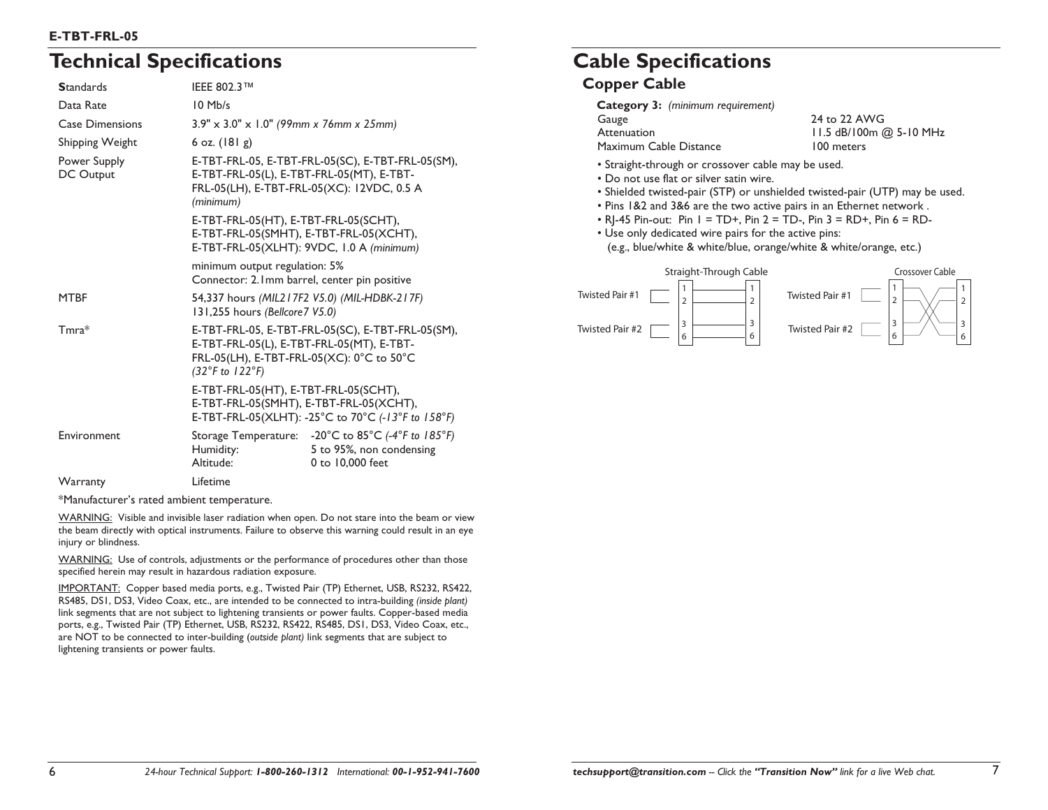### **E-TBT-FRL-05**

# **Technical Specifications**

| <b>Standards</b>          | <b>IEEE 802.3™</b>                                                                                                                                        |                                                                                                     |
|---------------------------|-----------------------------------------------------------------------------------------------------------------------------------------------------------|-----------------------------------------------------------------------------------------------------|
| Data Rate                 | $10$ Mb/s                                                                                                                                                 |                                                                                                     |
| <b>Case Dimensions</b>    | $3.9'' \times 3.0'' \times 1.0''$ (99mm x 76mm x 25mm)                                                                                                    |                                                                                                     |
| Shipping Weight           | 6 oz. $(181 g)$                                                                                                                                           |                                                                                                     |
| Power Supply<br>DC Output | E-TBT-FRL-05, E-TBT-FRL-05(SC), E-TBT-FRL-05(SM),<br>E-TBT-FRL-05(L), E-TBT-FRL-05(MT), E-TBT-<br>FRL-05(LH), E-TBT-FRL-05(XC): 12VDC, 0.5 A<br>(minimum) |                                                                                                     |
|                           | E-TBT-FRL-05(HT), E-TBT-FRL-05(SCHT),<br>E-TBT-FRL-05(SMHT), E-TBT-FRL-05(XCHT),<br>E-TBT-FRL-05(XLHT): 9VDC, I.0 A (minimum)                             |                                                                                                     |
|                           | minimum output regulation: 5%<br>Connector: 2.1mm barrel, center pin positive                                                                             |                                                                                                     |
| <b>MTBF</b>               | 54,337 hours (MIL217F2 V5.0) (MIL-HDBK-217F)<br>131,255 hours (Bellcore7 V5.0)                                                                            |                                                                                                     |
| $Tmra*$                   | E-TBT-FRL-05(L), E-TBT-FRL-05(MT), E-TBT-<br>FRL-05(LH), E-TBT-FRL-05(XC): 0°C to 50°C<br>$(32^{\circ}F \text{ to } 122^{\circ}F)$                        | E-TBT-FRL-05, E-TBT-FRL-05(SC), E-TBT-FRL-05(SM),                                                   |
|                           | E-TBT-FRL-05(HT), E-TBT-FRL-05(SCHT),<br>E-TBT-FRL-05(SMHT), E-TBT-FRL-05(XCHT),                                                                          | E-TBT-FRL-05(XLHT): -25°C to 70°C (-13°F to 158°F)                                                  |
| Environment               | Humidity:<br>Altitude:                                                                                                                                    | Storage Temperature: - 20°C to 85°C (-4°F to 185°F)<br>5 to 95%, non condensing<br>0 to 10,000 feet |
| Warranty                  | Lifetime                                                                                                                                                  |                                                                                                     |

\*Manufacturer's rated ambient temperature.

WARNING: Visible and invisible laser radiation when open. Do not stare into the beam or view the beam directly with optical instruments. Failure to observe this warning could result in an eye injury or blindness.

WARNING: Use of controls, adjustments or the performance of procedures other than those specified herein may result in hazardous radiation exposure.

IMPORTANT: Copper based media ports, e.g., Twisted Pair (TP) Ethernet, USB, RS232, RS422, RS485, DS1, DS3, Video Coax, etc., are intended to be connected to intra-building *(inside plant)* link segments that are not subject to lightening transients or power faults. Copper-based media ports, e.g., Twisted Pair (TP) Ethernet, USB, RS232, RS422, RS485, DS1, DS3, Video Coax, etc., are NOT to be connected to inter-building (*outside plant)* link segments that are subject to lightening transients or power faults.

# **Cable Specifications**

### **Copper Cable**

| Category 3: (minimum requirement)<br>Gauge<br>Attenuation<br>Maximum Cable Distance                                                                                                                                                                                                                                                                                                                                                                      | 24 to 22 AWG<br>11.5 dB/100m @ 5-10 MHz<br>100 meters |  |
|----------------------------------------------------------------------------------------------------------------------------------------------------------------------------------------------------------------------------------------------------------------------------------------------------------------------------------------------------------------------------------------------------------------------------------------------------------|-------------------------------------------------------|--|
| • Straight-through or crossover cable may be used.<br>• Do not use flat or silver satin wire.<br>• Shielded twisted-pair (STP) or unshielded twisted-pair (UTP) may be used.<br>• Pins 1&2 and 3&6 are the two active pairs in an Ethernet network.<br>• RI-45 Pin-out: Pin I = TD+, Pin 2 = TD-, Pin 3 = RD+, Pin 6 = RD-<br>• Use only dedicated wire pairs for the active pins:<br>(e.g., blue/white & white/blue, orange/white & white/orange, etc.) |                                                       |  |
| Straight-Through Cable                                                                                                                                                                                                                                                                                                                                                                                                                                   | Crossover Cable                                       |  |

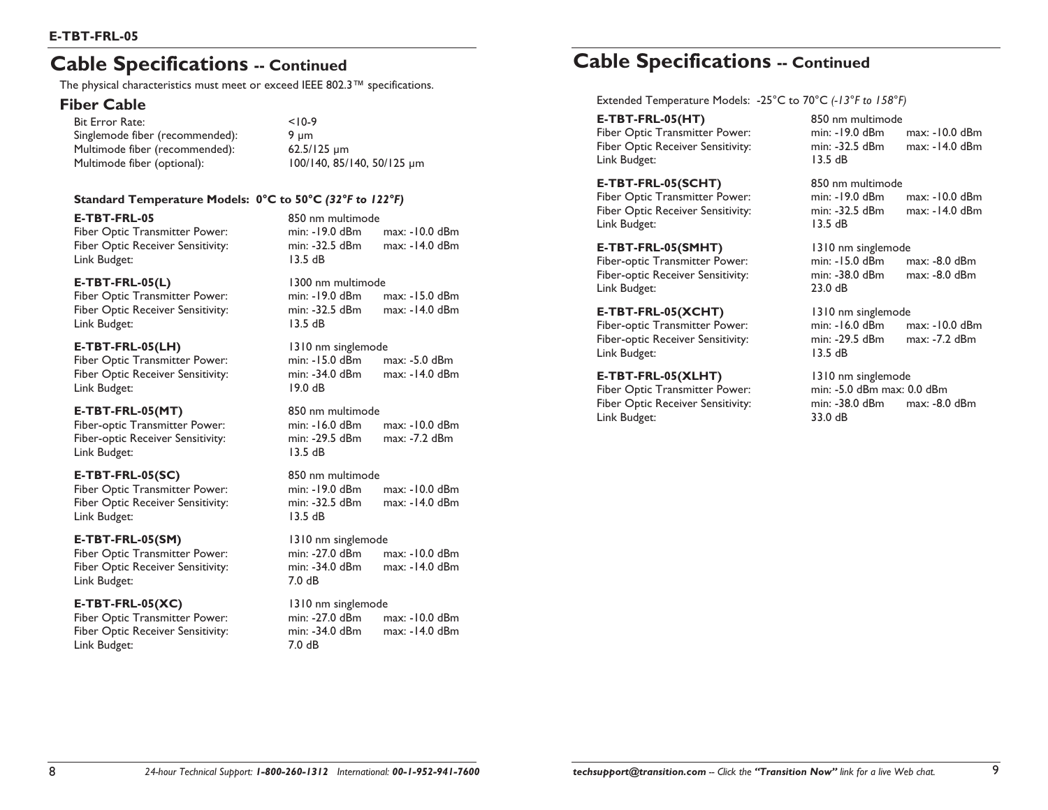# **Cable Specifications -- Continued**

The physical characteristics must meet or exceed IEEE 802.3™ specifications.

### **Fiber Cable**

Bit Error Rate: <10-9 Singlemode fiber (recommended):  $9 \mu m$ Multimode fiber (recommended): 62.5/125 µm Multimode fiber (optional): 100/140, 85/140, 50/125 µm

### **Standard Temperature Models: 0°C to 50°C** *(32°F to 122°F)*

**E-TBT-FRL-05** 850 nm multimode Link Budget: 13.5 dB

### **E-TBT-FRL-05(L)** 1300 nm multimode

Link Budget: 13.5 dB

### **E-TBT-FRL-05(LH)** 1310 nm singlemode

Fiber Optic Receiver Sensitivity: Link Budget: 19.0 dB

### **E-TBT-FRL-05(MT)** 850 nm multimode

Link Budget: 13.5 dB

### **E-TBT-FRL-05(SC)** 850 nm multimode

Fiber Optic Transmitter Power: min: -19.0 dBm max: -10.0 dBm Link Budget: 13.5 dB

### **E-TBT-FRL-05(SM)** 1310 nm singlemode

Link Budget: 7.0 dB

### **E-TBT-FRL-05(XC)** 1310 nm singlemode

Fiber Optic Transmitter Power: min: -27.0 dBm max: -10.0 dBm Fiber Optic Receiver Sensitivity: min: -34.0 dBm max: -14.0 dBm Link Budget: 7.0 dB

Fiber Optic Transmitter Power: min: -19.0 dBm max: -10.0 dBm Fiber Optic Receiver Sensitivity: min: -32.5 dBm max: -14.0 dBm

Fiber Optic Transmitter Power: min: -19.0 dBm max: -15.0 dBm Fiber Optic Receiver Sensitivity: min: -32.5 dBm max: -14.0 dBm

Fiber Optic Transmitter Power: min: -15.0 dBm max: -5.0 dBm

Fiber-optic Transmitter Power: min: -16.0 dBm max: -10.0 dBm Fiber-optic Receiver Sensitivity: min: -29.5 dBm max: -7.2 dBm

Fiber Optic Receiver Sensitivity: min: -32.5 dBm max: -14.0 dBm

Fiber Optic Transmitter Power: min: -27.0 dBm max: -10.0 dBm Fiber Optic Receiver Sensitivity: min: -34.0 dBm max: -14.0 dBm

# **Cable Specifications -- Continued**

Extended Temperature Models: -25°C to 70°C *(-13°F to 158°F)*

### **E-TBT-FRL-05(HT)** 850 nm multimode

Link Budget: 13.5 dB

### **E-TBT-FRL-05(SCHT)** 850 nm multimode

Fiber Optic Receiver Sensitivity: min: -32.5 dBm Link Budget: 13.5 dB

### **E-TBT-FRL-05(SMHT)** 1310 nm singlemode

Link Budget: 23.0 dB

### **E-TBT-FRL-05(XCHT)** 1310 nm singlemode

Link Budget: 13.5 dB

### **E-TBT-FRL-05(XLHT)** 1310 nm singlemode

Fiber Optic Transmitter Power: min: -5.0 dBm max: 0.0 dBm Link Budget: 33.0 dB

Fiber Optic Transmitter Power: min: -19.0 dBm max: -10.0 dBm Fiber Optic Receiver Sensitivity: min: -32.5 dBm max: -14.0 dBm

# Fiber Optic Transmitter Power: min: -19.0 dBm max: -10.0 dBm

Fiber-optic Transmitter Power: min: -15.0 dBm max: -8.0 dBm Fiber-optic Receiver Sensitivity: min: -38.0 dBm max: -8.0 dBm

# Fiber-optic Transmitter Power: min: -16.0 dBm max: -10.0 dBm Fiber-optic Receiver Sensitivity: min: -29.5 dBm max: -7.2 dBm

Fiber Optic Receiver Sensitivity: min: -38.0 dBm max: -8.0 dBm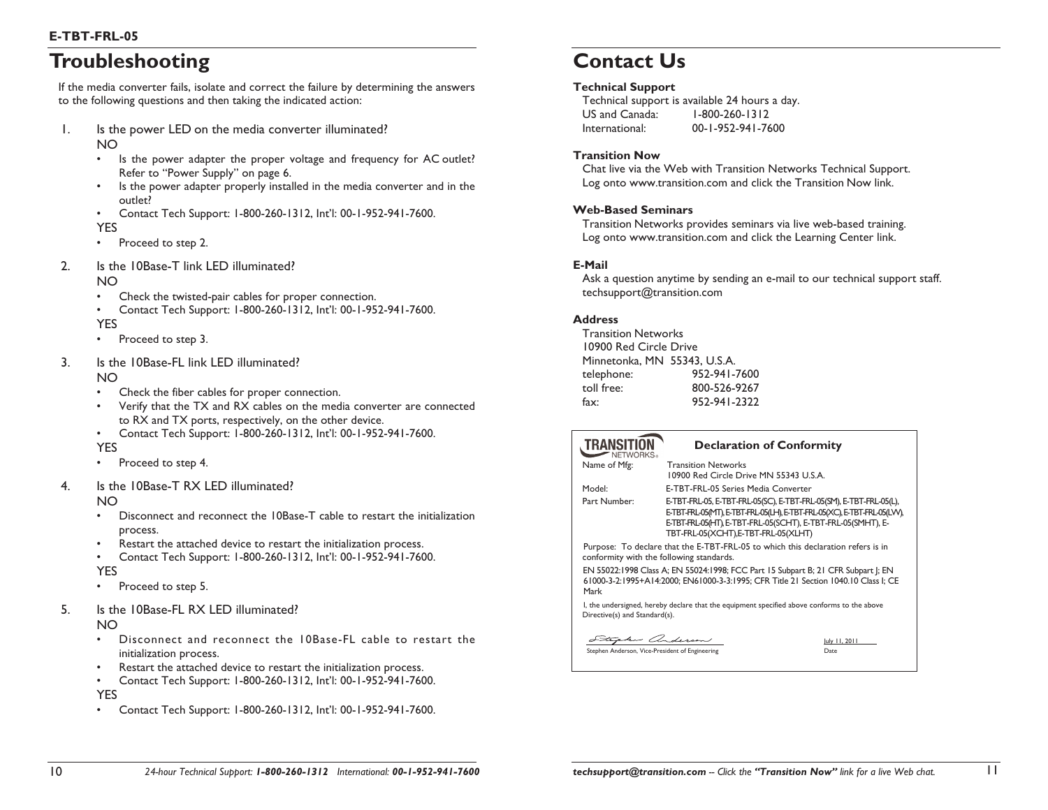# **Troubleshooting**

If the media converter fails, isolate and correct the failure by determining the answers to the following questions and then taking the indicated action:

- 1. Is the power LED on the media converter illuminated? NO
	- • Is the power adapter the proper voltage and frequency for AC outlet? Refer to "Power Supply" on page 6.
	- • Is the power adapter properly installed in the media converter and in the outlet?
	- • Contact Tech Support: 1-800-260-1312, Int'l: 00-1-952-941-7600. YES
	- •Proceed to step 2.
- 2. Is the 10Base-T link LED illuminated? NO
	- •Check the twisted-pair cables for proper connection.
	- • Contact Tech Support: 1-800-260-1312, Int'l: 00-1-952-941-7600. YES
	- •Proceed to step 3.
- 3. Is the 10Base-FL link LED illuminated? NO
	- •Check the fiber cables for proper connection.
	- • Verify that the TX and RX cables on the media converter are connected to RX and TX ports, respectively, on the other device.
	- • Contact Tech Support: 1-800-260-1312, Int'l: 00-1-952-941-7600. YES
	- •Proceed to step 4.
- 4. Is the 10Base-T RX LED illuminated?

NO

- • Disconnect and reconnect the 10Base-T cable to restart the initialization process.
- •Restart the attached device to restart the initialization process.
- • Contact Tech Support: 1-800-260-1312, Int'l: 00-1-952-941-7600. YES
- •Proceed to step 5.
- 5. Is the 10Base-FL RX LED illuminated?

NO

- • Disconnect and reconnect the 10Base-FL cable to restart the initialization process.
- •Restart the attached device to restart the initialization process.
- •Contact Tech Support: 1-800-260-1312, Int'l: 00-1-952-941-7600.

YES

•Contact Tech Support: 1-800-260-1312, Int'l: 00-1-952-941-7600.

# **Contact Us**

### **Technical Support**

Technical support is available 24 hours a day. US and Canada: 1-800-260-1312 International: 00-1-952-941-7600

### **Transition Now**

Chat live via the Web with Transition Networks Technical Support. Log onto www.transition.com and click the Transition Now link.

### **Web-Based Seminars**

Transition Networks provides seminars via live web-based training. Log onto www.transition.com and click the Learning Center link.

### **E-Mail**

Ask a question anytime by sending an e-mail to our technical support staff. techsupport@transition.com

### **Address**

Transition Networks 10900 Red Circle Drive Minnetonka, MN 55343, U.S.A. telephone: 952-941-7600 toll free: 800-526-9267 fax: 952-941-2322

| <b>TRANSIT</b><br>NFTWORKS.   | <b>Declaration of Conformity</b>                                                                                                                                                                                                                      |
|-------------------------------|-------------------------------------------------------------------------------------------------------------------------------------------------------------------------------------------------------------------------------------------------------|
| Name of Mfg:                  | <b>Transition Networks</b><br>10900 Red Circle Drive MN 55343 U.S.A.                                                                                                                                                                                  |
| Model:                        | E-TBT-FRL-05 Series Media Converter                                                                                                                                                                                                                   |
| Part Number:                  | E-TBT-FRL-05, E-TBT-FRL-05(SC), E-TBT-FRL-05(SM), E-TBT-FRL-05(L),<br>E-TBT-FRL-05(MT), E-TBT-FRL-05(LH), E-TBT-FRL-05(XC), E-TBT-FRL-05(LVV),<br>E-TBT-FRL-05(HT), E-TBT-FRL-05(SCHT), E-TBT-FRL-05(SMHT), E-<br>TBT-FRL-05(XCHT),E-TBT-FRL-05(XLHT) |
|                               | Purpose: To declare that the E-TBT-FRL-05 to which this declaration refers is in<br>conformity with the following standards.                                                                                                                          |
| Mark                          | EN 55022:1998 Class A; EN 55024:1998; FCC Part 15 Subpart B; 21 CFR Subpart I; EN<br>61000-3-2:1995+A14:2000; EN61000-3-3:1995; CFR Title 21 Section 1040.10 Class I; CE                                                                              |
| Directive(s) and Standard(s). | I, the undersigned, hereby declare that the equipment specified above conforms to the above                                                                                                                                                           |
| Stephen anderson              | luly 11, 2011                                                                                                                                                                                                                                         |

Stephen Anderson, Vice-President of Engineering **Date** Date